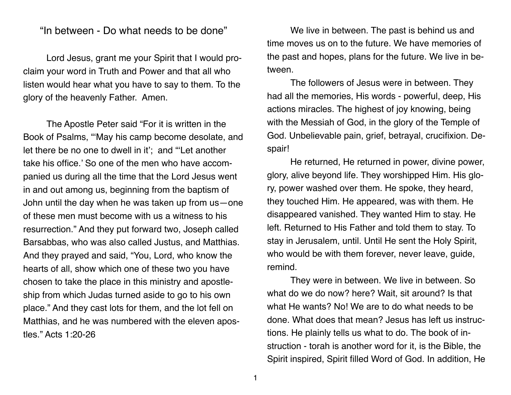## "In between - Do what needs to be done"

Lord Jesus, grant me your Spirit that I would proclaim your word in Truth and Power and that all who listen would hear what you have to say to them. To the glory of the heavenly Father. Amen.

The Apostle Peter said "For it is written in the Book of Psalms, "'May his camp become desolate, and let there be no one to dwell in it'; and "'Let another take his office.' So one of the men who have accompanied us during all the time that the Lord Jesus went in and out among us, beginning from the baptism of John until the day when he was taken up from us—one of these men must become with us a witness to his resurrection." And they put forward two, Joseph called Barsabbas, who was also called Justus, and Matthias. And they prayed and said, "You, Lord, who know the hearts of all, show which one of these two you have chosen to take the place in this ministry and apostleship from which Judas turned aside to go to his own place." And they cast lots for them, and the lot fell on Matthias, and he was numbered with the eleven apostles." Acts 1:20-26

We live in between. The past is behind us and time moves us on to the future. We have memories of the past and hopes, plans for the future. We live in between.

The followers of Jesus were in between. They had all the memories, His words - powerful, deep, His actions miracles. The highest of joy knowing, being with the Messiah of God, in the glory of the Temple of God. Unbelievable pain, grief, betrayal, crucifixion. Despair!

He returned, He returned in power, divine power, glory, alive beyond life. They worshipped Him. His glory, power washed over them. He spoke, they heard, they touched Him. He appeared, was with them. He disappeared vanished. They wanted Him to stay. He left. Returned to His Father and told them to stay. To stay in Jerusalem, until. Until He sent the Holy Spirit, who would be with them forever, never leave, guide, remind.

They were in between. We live in between. So what do we do now? here? Wait, sit around? Is that what He wants? No! We are to do what needs to be done. What does that mean? Jesus has left us instructions. He plainly tells us what to do. The book of instruction - torah is another word for it, is the Bible, the Spirit inspired, Spirit filled Word of God. In addition, He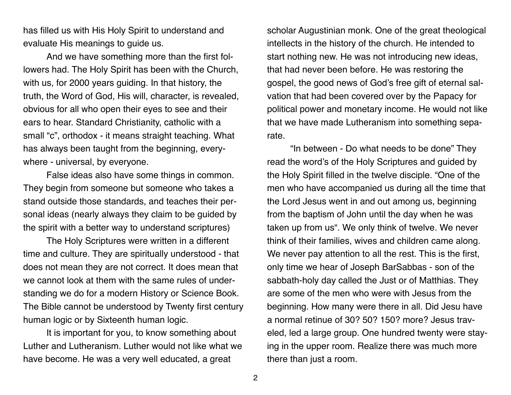has filled us with His Holy Spirit to understand and evaluate His meanings to guide us.

And we have something more than the first followers had. The Holy Spirit has been with the Church, with us, for 2000 years guiding. In that history, the truth, the Word of God, His will, character, is revealed, obvious for all who open their eyes to see and their ears to hear. Standard Christianity, catholic with a small "c", orthodox - it means straight teaching. What has always been taught from the beginning, everywhere - universal, by everyone.

False ideas also have some things in common. They begin from someone but someone who takes a stand outside those standards, and teaches their personal ideas (nearly always they claim to be guided by the spirit with a better way to understand scriptures)

The Holy Scriptures were written in a different time and culture. They are spiritually understood - that does not mean they are not correct. It does mean that we cannot look at them with the same rules of understanding we do for a modern History or Science Book. The Bible cannot be understood by Twenty first century human logic or by Sixteenth human logic.

It is important for you, to know something about Luther and Lutheranism. Luther would not like what we have become. He was a very well educated, a great

scholar Augustinian monk. One of the great theological intellects in the history of the church. He intended to start nothing new. He was not introducing new ideas, that had never been before. He was restoring the gospel, the good news of God's free gift of eternal salvation that had been covered over by the Papacy for political power and monetary income. He would not like that we have made Lutheranism into something separate.

"In between - Do what needs to be done" They read the word's of the Holy Scriptures and guided by the Holy Spirit filled in the twelve disciple. "One of the men who have accompanied us during all the time that the Lord Jesus went in and out among us, beginning from the baptism of John until the day when he was taken up from us". We only think of twelve. We never think of their families, wives and children came along. We never pay attention to all the rest. This is the first, only time we hear of Joseph BarSabbas - son of the sabbath-holy day called the Just or of Matthias. They are some of the men who were with Jesus from the beginning. How many were there in all. Did Jesu have a normal retinue of 30? 50? 150? more? Jesus traveled, led a large group. One hundred twenty were staying in the upper room. Realize there was much more there than just a room.